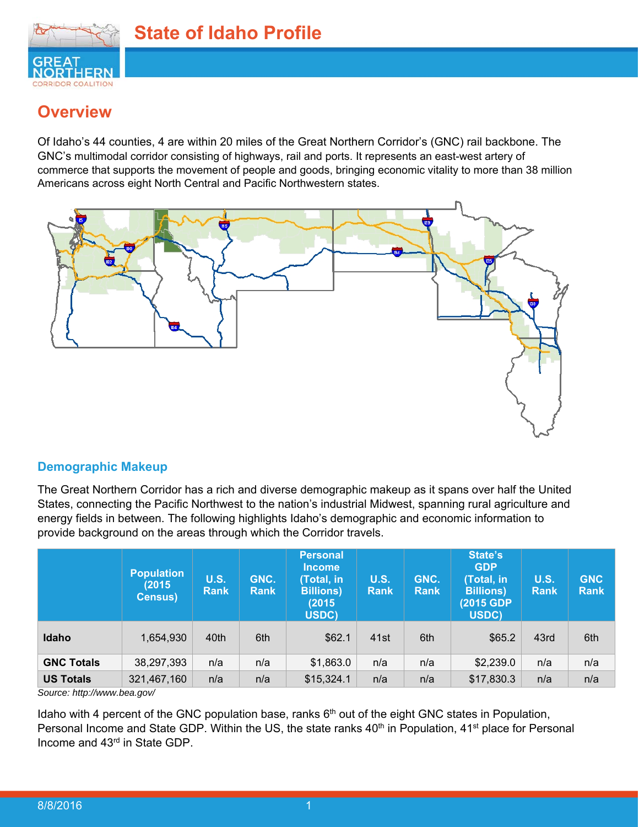

## **Overview**

Of Idaho's 44 counties, 4 are within 20 miles of the Great Northern Corridor's (GNC) rail backbone. The GNC's multimodal corridor consisting of highways, rail and ports. It represents an east-west artery of commerce that supports the movement of people and goods, bringing economic vitality to more than 38 million Americans across eight North Central and Pacific Northwestern states.



#### **Demographic Makeup**

The Great Northern Corridor has a rich and diverse demographic makeup as it spans over half the United States, connecting the Pacific Northwest to the nation's industrial Midwest, spanning rural agriculture and energy fields in between. The following highlights Idaho's demographic and economic information to provide background on the areas through which the Corridor travels.

|                   | <b>Population</b><br>(2015)<br><b>Census)</b> | <b>U.S.</b><br><b>Rank</b> | GNC.<br><b>Rank</b> | <b>Personal</b><br><b>Income</b><br>(Total, in<br><b>Billions)</b><br>(2015<br>USDC) | <b>U.S.</b><br><b>Rank</b> | GNC.<br><b>Rank</b> | State's<br><b>GDP</b><br>(Total, in<br><b>Billions</b> )<br>(2015 GDP)<br>USDC) | <b>U.S.</b><br><b>Rank</b> | <b>GNC</b><br><b>Rank</b> |
|-------------------|-----------------------------------------------|----------------------------|---------------------|--------------------------------------------------------------------------------------|----------------------------|---------------------|---------------------------------------------------------------------------------|----------------------------|---------------------------|
| Idaho             | 1,654,930                                     | 40th                       | 6th                 | \$62.1                                                                               | 41 <sub>st</sub>           | 6th                 | \$65.2                                                                          | 43rd                       | 6th                       |
| <b>GNC Totals</b> | 38,297,393                                    | n/a                        | n/a                 | \$1,863.0                                                                            | n/a                        | n/a                 | \$2,239.0                                                                       | n/a                        | n/a                       |
| <b>US Totals</b>  | 321,467,160                                   | n/a                        | n/a                 | \$15,324.1                                                                           | n/a                        | n/a                 | \$17,830.3                                                                      | n/a                        | n/a                       |

*Source: http://www.bea.gov/* 

Idaho with 4 percent of the GNC population base, ranks  $6<sup>th</sup>$  out of the eight GNC states in Population, Personal Income and State GDP. Within the US, the state ranks 40<sup>th</sup> in Population, 41<sup>st</sup> place for Personal Income and 43rd in State GDP.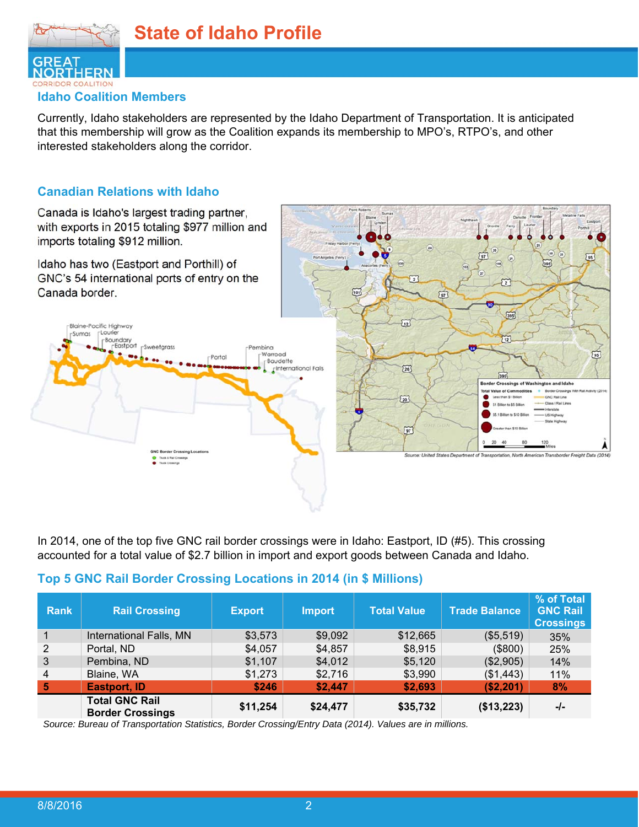

#### **Idaho Coalition Members**

Currently, Idaho stakeholders are represented by the Idaho Department of Transportation. It is anticipated that this membership will grow as the Coalition expands its membership to MPO's, RTPO's, and other interested stakeholders along the corridor.

#### **Canadian Relations with Idaho**

Canada is Idaho's largest trading partner, with exports in 2015 totaling \$977 million and imports totaling \$912 million.



In 2014, one of the top five GNC rail border crossings were in Idaho: Eastport, ID (#5). This crossing accounted for a total value of \$2.7 billion in import and export goods between Canada and Idaho.

#### **Top 5 GNC Rail Border Crossing Locations in 2014 (in \$ Millions)**

| <b>Rank</b> | <b>Rail Crossing</b>                             | <b>Export</b> | <b>Import</b> | <b>Total Value</b> | <b>Trade Balance</b> | % of Total<br><b>GNC Rail</b><br><b>Crossings</b> |
|-------------|--------------------------------------------------|---------------|---------------|--------------------|----------------------|---------------------------------------------------|
|             | International Falls, MN                          | \$3,573       | \$9,092       | \$12,665           | (\$5,519)            | 35%                                               |
| 2           | Portal, ND                                       | \$4,057       | \$4,857       | \$8,915            | (\$800)              | 25%                                               |
| 3           | Pembina, ND                                      | \$1,107       | \$4,012       | \$5,120            | (\$2,905)            | 14%                                               |
| 4           | Blaine, WA                                       | \$1,273       | \$2,716       | \$3,990            | (\$1,443)            | 11%                                               |
| 5           | <b>Eastport, ID</b>                              | \$246         | \$2,447       | \$2,693            | ( \$2, 201)          | 8%                                                |
|             | <b>Total GNC Rail</b><br><b>Border Crossings</b> | \$11,254      | \$24,477      | \$35,732           | (\$13,223)           | -/-                                               |

*Source: Bureau of Transportation Statistics, Border Crossing/Entry Data (2014). Values are in millions.*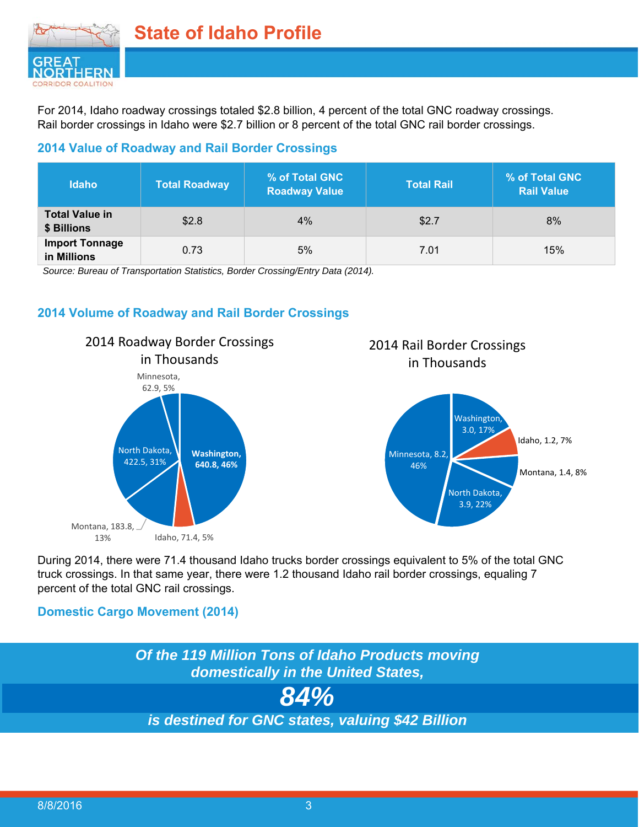

For 2014, Idaho roadway crossings totaled \$2.8 billion, 4 percent of the total GNC roadway crossings. Rail border crossings in Idaho were \$2.7 billion or 8 percent of the total GNC rail border crossings.

#### **2014 Value of Roadway and Rail Border Crossings**

| <b>Idaho</b>                         | <b>Total Roadway</b> | % of Total GNC<br><b>Roadway Value</b> | <b>Total Rail</b> | % of Total GNC<br><b>Rail Value</b> |
|--------------------------------------|----------------------|----------------------------------------|-------------------|-------------------------------------|
| <b>Total Value in</b><br>\$ Billions | \$2.8                | 4%                                     | \$2.7             | 8%                                  |
| <b>Import Tonnage</b><br>in Millions | 0.73                 | 5%                                     | 7.01              | 15%                                 |

*Source: Bureau of Transportation Statistics, Border Crossing/Entry Data (2014).* 

#### **2014 Volume of Roadway and Rail Border Crossings**



# 2014 Rail Border Crossings in Thousands



During 2014, there were 71.4 thousand Idaho trucks border crossings equivalent to 5% of the total GNC truck crossings. In that same year, there were 1.2 thousand Idaho rail border crossings, equaling 7 percent of the total GNC rail crossings.

#### **Domestic Cargo Movement (2014)**

*Of the 119 Million Tons of Idaho Products moving domestically in the United States, 84% is destined for GNC states, valuing \$42 Billion*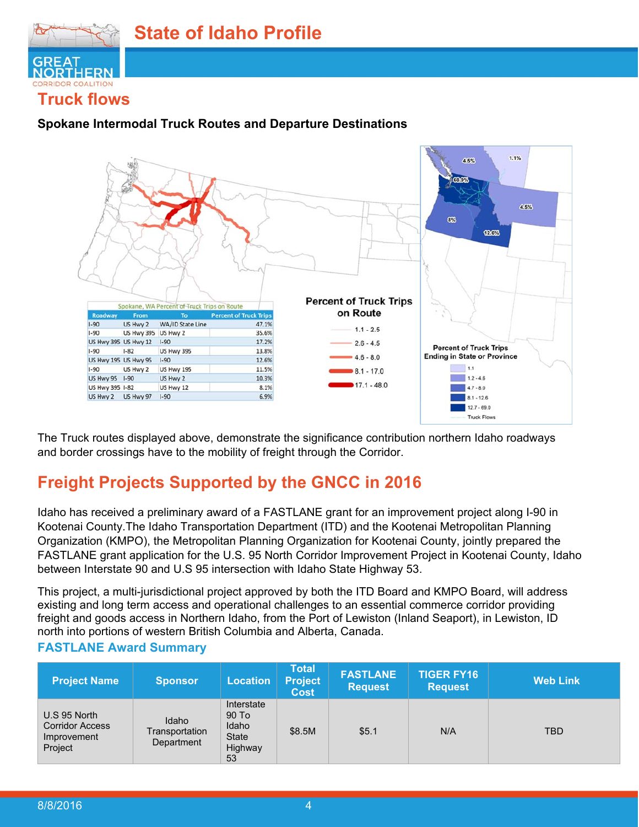

#### **Spokane Intermodal Truck Routes and Departure Destinations**



The Truck routes displayed above, demonstrate the significance contribution northern Idaho roadways and border crossings have to the mobility of freight through the Corridor.

# **Freight Projects Supported by the GNCC in 2016**

Idaho has received a preliminary award of a FASTLANE grant for an improvement project along I-90 in Kootenai County.The Idaho Transportation Department (ITD) and the Kootenai Metropolitan Planning Organization (KMPO), the Metropolitan Planning Organization for Kootenai County, jointly prepared the FASTLANE grant application for the U.S. 95 North Corridor Improvement Project in Kootenai County, Idaho between Interstate 90 and U.S 95 intersection with Idaho State Highway 53.

This project, a multi-jurisdictional project approved by both the ITD Board and KMPO Board, will address existing and long term access and operational challenges to an essential commerce corridor providing freight and goods access in Northern Idaho, from the Port of Lewiston (Inland Seaport), in Lewiston, ID north into portions of western British Columbia and Alberta, Canada.

#### **FASTLANE Award Summary**

| <b>Project Name</b>                                              | <b>Sponsor</b>                        | <b>Location</b>                                               | <b>Total</b><br><b>Project</b><br><b>Cost</b> | <b>FASTLANE</b><br><b>Request</b> | <b>TIGER FY16</b><br><b>Request</b> | <b>Web Link</b> |
|------------------------------------------------------------------|---------------------------------------|---------------------------------------------------------------|-----------------------------------------------|-----------------------------------|-------------------------------------|-----------------|
| U.S 95 North<br><b>Corridor Access</b><br>Improvement<br>Project | Idaho<br>Transportation<br>Department | Interstate<br>90 To<br>Idaho<br><b>State</b><br>Highway<br>53 | \$8.5M                                        | \$5.1                             | N/A                                 | <b>TBD</b>      |